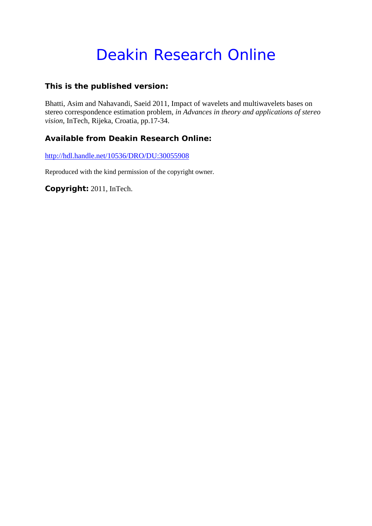# Deakin Research Online

## **This is the published version:**

Bhatti, Asim and Nahavandi, Saeid 2011, Impact of wavelets and multiwavelets bases on stereo correspondence estimation problem*, in Advances in theory and applications of stereo vision*, InTech, Rijeka, Croatia, pp.17-34.

## **Available from Deakin Research Online:**

http://hdl.handle.net/10536/DRO/DU:30055908

Reproduced with the kind permission of the copyright owner.

**Copyright:** 2011, InTech.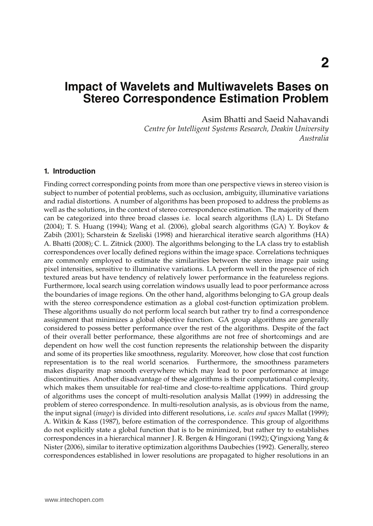## **Impact of Wavelets and Multiwavelets Bases on Stereo Correspondence Estimation Problem**

Asim Bhatti and Saeid Nahavandi

*Centre for Intelligent Systems Research, Deakin University Australia*

#### **1. Introduction**

Finding correct corresponding points from more than one perspective views in stereo vision is subject to number of potential problems, such as occlusion, ambiguity, illuminative variations and radial distortions. A number of algorithms has been proposed to address the problems as well as the solutions, in the context of stereo correspondence estimation. The majority of them can be categorized into three broad classes i.e. local search algorithms (LA) L. Di Stefano (2004); T. S. Huang (1994); Wang et al. (2006), global search algorithms (GA) Y. Boykov & Zabih (2001); Scharstein & Szeliski (1998) and hierarchical iterative search algorithms (HA) A. Bhatti (2008); C. L. Zitnick (2000). The algorithms belonging to the LA class try to establish correspondences over locally defined regions within the image space. Correlations techniques are commonly employed to estimate the similarities between the stereo image pair using pixel intensities, sensitive to illuminative variations. LA perform well in the presence of rich textured areas but have tendency of relatively lower performance in the featureless regions. Furthermore, local search using correlation windows usually lead to poor performance across the boundaries of image regions. On the other hand, algorithms belonging to GA group deals with the stereo correspondence estimation as a global cost-function optimization problem. These algorithms usually do not perform local search but rather try to find a correspondence assignment that minimizes a global objective function. GA group algorithms are generally considered to possess better performance over the rest of the algorithms. Despite of the fact of their overall better performance, these algorithms are not free of shortcomings and are dependent on how well the cost function represents the relationship between the disparity and some of its properties like smoothness, regularity. Moreover, how close that cost function representation is to the real world scenarios. Furthermore, the smoothness parameters makes disparity map smooth everywhere which may lead to poor performance at image discontinuities. Another disadvantage of these algorithms is their computational complexity, which makes them unsuitable for real-time and close-to-realtime applications. Third group of algorithms uses the concept of multi-resolution analysis Mallat (1999) in addressing the problem of stereo correspondence. In multi-resolution analysis, as is obvious from the name, the input signal (*image*) is divided into different resolutions, i.e. *scales and spaces* Mallat (1999); A. Witkin & Kass (1987), before estimation of the correspondence. This group of algorithms do not explicitly state a global function that is to be minimized, but rather try to establishes correspondences in a hierarchical manner J. R. Bergen & Hingorani (1992); Q'ingxiong Yang & Nister (2006), similar to iterative optimization algorithms Daubechies (1992). Generally, stereo correspondences established in lower resolutions are propagated to higher resolutions in an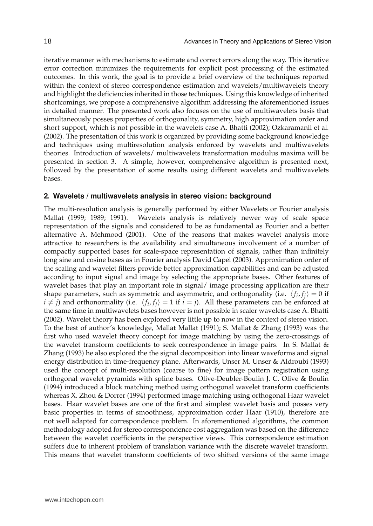iterative manner with mechanisms to estimate and correct errors along the way. This iterative error correction minimizes the requirements for explicit post processing of the estimated outcomes. In this work, the goal is to provide a brief overview of the techniques reported within the context of stereo correspondence estimation and wavelets/multiwavelets theory and highlight the deficiencies inherited in those techniques. Using this knowledge of inherited shortcomings, we propose a comprehensive algorithm addressing the aforementioned issues in detailed manner. The presented work also focuses on the use of multiwavelets basis that simultaneously posses properties of orthogonality, symmetry, high approximation order and short support, which is not possible in the wavelets case A. Bhatti (2002); Ozkaramanli et al. (2002). The presentation of this work is organized by providing some background knowledge and techniques using multiresolution analysis enforced by wavelets and multiwavelets theories. Introduction of wavelets/ multiwavelets transformation modulus maxima will be presented in section 3. A simple, however, comprehensive algorithm is presented next, followed by the presentation of some results using different wavelets and multiwavelets bases.

#### **2. Wavelets / multiwavelets analysis in stereo vision: background**

The multi-resolution analysis is generally performed by either Wavelets or Fourier analysis Mallat (1999; 1989; 1991). Wavelets analysis is relatively newer way of scale space representation of the signals and considered to be as fundamental as Fourier and a better alternative A. Mehmood (2001). One of the reasons that makes wavelet analysis more attractive to researchers is the availability and simultaneous involvement of a number of compactly supported bases for scale-space representation of signals, rather than infinitely long sine and cosine bases as in Fourier analysis David Capel (2003). Approximation order of the scaling and wavelet filters provide better approximation capabilities and can be adjusted according to input signal and image by selecting the appropriate bases. Other features of wavelet bases that play an important role in signal/ image processing application are their shape parameters, such as symmetric and asymmetric, and orthogonality (i.e.  $\langle f_i, f_j \rangle = 0$  if  $i \neq j$ ) and orthonormality (i.e.  $\langle f_i, f_j \rangle = 1$  if  $i = j$ ). All these parameters can be enforced at the same time in multiwavelets bases however is not possible in scaler wavelets case A. Bhatti (2002). Wavelet theory has been explored very little up to now in the context of stereo vision. To the best of author's knowledge, Mallat Mallat (1991); S. Mallat & Zhang (1993) was the first who used wavelet theory concept for image matching by using the zero-crossings of the wavelet transform coefficients to seek correspondence in image pairs. In S. Mallat & Zhang (1993) he also explored the the signal decomposition into linear waveforms and signal energy distribution in time-frequency plane. Afterwards, Unser M. Unser & Aldroubi (1993) used the concept of multi-resolution (coarse to fine) for image pattern registration using orthogonal wavelet pyramids with spline bases. Olive-Deubler-Boulin J. C. Olive & Boulin (1994) introduced a block matching method using orthogonal wavelet transform coefficients whereas X. Zhou & Dorrer (1994) performed image matching using orthogonal Haar wavelet bases. Haar wavelet bases are one of the first and simplest wavelet basis and posses very basic properties in terms of smoothness, approximation order Haar (1910), therefore are not well adapted for correspondence problem. In aforementioned algorithms, the common methodology adopted for stereo correspondence cost aggregation was based on the difference between the wavelet coefficients in the perspective views. This correspondence estimation suffers due to inherent problem of translation variance with the discrete wavelet transform. This means that wavelet transform coefficients of two shifted versions of the same image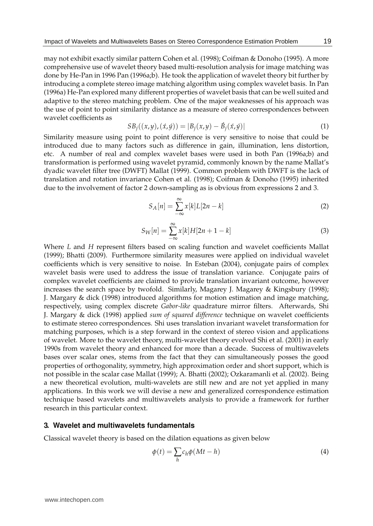may not exhibit exactly similar pattern Cohen et al. (1998); Coifman & Donoho (1995). A more comprehensive use of wavelet theory based multi-resolution analysis for image matching was done by He-Pan in 1996 Pan (1996a;b). He took the application of wavelet theory bit further by introducing a complete stereo image matching algorithm using complex wavelet basis. In Pan (1996a) He-Pan explored many different properties of wavelet basis that can be well suited and adaptive to the stereo matching problem. One of the major weaknesses of his approach was the use of point to point similarity distance as a measure of stereo correspondences between wavelet coefficients as

$$
SB_j((x,y), (\dot{x}, \dot{y})) = |B_j(x, y) - \dot{B}_j(\dot{x}, \dot{y})|
$$
\n(1)

Similarity measure using point to point difference is very sensitive to noise that could be introduced due to many factors such as difference in gain, illumination, lens distortion, etc. A number of real and complex wavelet bases were used in both Pan (1996a;b) and transformation is performed using wavelet pyramid, commonly known by the name Mallat's dyadic wavelet filter tree (DWFT) Mallat (1999). Common problem with DWFT is the lack of translation and rotation invariance Cohen et al. (1998); Coifman & Donoho (1995) inherited due to the involvement of factor 2 down-sampling as is obvious from expressions 2 and 3.

$$
S_A[n] = \sum_{-\infty}^{\infty} x[k]L[2n-k] \tag{2}
$$

$$
S_W[n] = \sum_{-\infty}^{\infty} x[k]H[2n+1-k]
$$
\n(3)

Where *L* and *H* represent filters based on scaling function and wavelet coefficients Mallat (1999); Bhatti (2009). Furthermore similarity measures were applied on individual wavelet coefficients which is very sensitive to noise. In Esteban (2004), conjugate pairs of complex wavelet basis were used to address the issue of translation variance. Conjugate pairs of complex wavelet coefficients are claimed to provide translation invariant outcome, however increases the search space by twofold. Similarly, Magarey J. Magarey & Kingsbury (1998); J. Margary & dick (1998) introduced algorithms for motion estimation and image matching, respectively, using complex discrete *Gabor-like* quadrature mirror filters. Afterwards, Shi J. Margary & dick (1998) applied *sum of squared difference* technique on wavelet coefficients to estimate stereo correspondences. Shi uses translation invariant wavelet transformation for matching purposes, which is a step forward in the context of stereo vision and applications of wavelet. More to the wavelet theory, multi-wavelet theory evolved Shi et al. (2001) in early 1990s from wavelet theory and enhanced for more than a decade. Success of multiwavelets bases over scalar ones, stems from the fact that they can simultaneously posses the good properties of orthogonality, symmetry, high approximation order and short support, which is not possible in the scalar case Mallat (1999); A. Bhatti (2002); Ozkaramanli et al. (2002). Being a new theoretical evolution, multi-wavelets are still new and are not yet applied in many applications. In this work we will devise a new and generalized correspondence estimation technique based wavelets and multiwavelets analysis to provide a framework for further research in this particular context.

#### **3. Wavelet and multiwavelets fundamentals**

Classical wavelet theory is based on the dilation equations as given below

$$
\phi(t) = \sum_{h} c_h \phi(Mt - h)
$$
\n(4)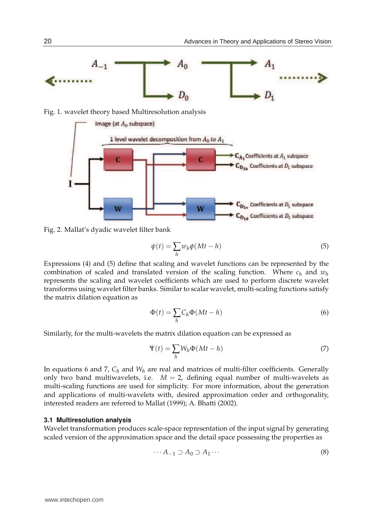

Fig. 2. Mallat's dyadic wavelet filter bank

$$
\psi(t) = \sum_{h} w_h \phi(Mt - h) \tag{5}
$$

Expressions (4) and (5) define that scaling and wavelet functions can be represented by the combination of scaled and translated version of the scaling function. Where  $c_h$  and  $w_h$ represents the scaling and wavelet coefficients which are used to perform discrete wavelet transforms using wavelet filter banks. Similar to scalar wavelet, multi-scaling functions satisfy the matrix dilation equation as

$$
\Phi(t) = \sum_{h} C_h \Phi(Mt - h) \tag{6}
$$

Similarly, for the multi-wavelets the matrix dilation equation can be expressed as

$$
\Psi(t) = \sum_{h} W_h \Phi(Mt - h) \tag{7}
$$

In equations 6 and 7,  $C_h$  and  $W_h$  are real and matrices of multi-filter coefficients. Generally only two band multiwavelets, i.e.  $M = 2$ , defining equal number of multi-wavelets as multi-scaling functions are used for simplicity. For more information, about the generation and applications of multi-wavelets with, desired approximation order and orthogonality, interested readers are referred to Mallat (1999); A. Bhatti (2002).

#### **3.1 Multiresolution analysis**

Wavelet transformation produces scale-space representation of the input signal by generating scaled version of the approximation space and the detail space possessing the properties as

$$
\cdots A_{-1} \supset A_0 \supset A_1 \cdots \tag{8}
$$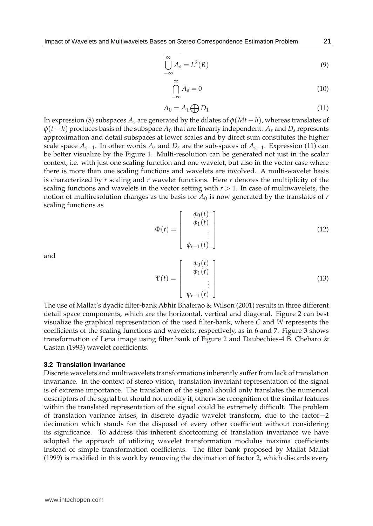$$
\overline{\bigcup_{-\infty}^{\infty} A_s} = L^2(R)
$$
\n(9)

$$
\bigcap_{-\infty}^{\infty} A_s = 0 \tag{10}
$$

$$
A_0 = A_1 \bigoplus D_1 \tag{11}
$$

In expression (8) subspaces  $A_s$  are generated by the dilates of  $\phi(Mt - h)$ , whereas translates of  $\varphi$ (*t* − *h*) produces basis of the subspace  $A_0$  that are linearly independent.  $A_s$  and  $D_s$  represents approximation and detail subspaces at lower scales and by direct sum constitutes the higher scale space *As*−<sup>1</sup> . In other words *A<sup>s</sup>* and *D<sup>s</sup>* are the sub-spaces of *As*−<sup>1</sup> . Expression (11) can be better visualize by the Figure 1. Multi-resolution can be generated not just in the scalar context, i.e. with just one scaling function and one wavelet, but also in the vector case where there is more than one scaling functions and wavelets are involved. A multi-wavelet basis is characterized by *r* scaling and *r* wavelet functions. Here *r* denotes the multiplicity of the scaling functions and wavelets in the vector setting with  $r > 1$ . In case of multiwavelets, the notion of multiresolution changes as the basis for *A*<sup>0</sup> is now generated by the translates of *r* scaling functions as *φ*0(*t*)

$$
\Phi(t) = \begin{bmatrix} \phi_0(t) \\ \phi_1(t) \\ \vdots \\ \phi_{r-1}(t) \end{bmatrix}
$$
 (12)

and

$$
\Psi(t) = \begin{bmatrix} \psi_0(t) \\ \psi_1(t) \\ \vdots \\ \psi_{r-1}(t) \end{bmatrix}
$$
 (13)

The use of Mallat's dyadic filter-bank Abhir Bhalerao & Wilson (2001) results in three different detail space components, which are the horizontal, vertical and diagonal. Figure 2 can best visualize the graphical representation of the used filter-bank, where *C* and *W* represents the coefficients of the scaling functions and wavelets, respectively, as in 6 and 7. Figure 3 shows transformation of Lena image using filter bank of Figure 2 and Daubechies-4 B. Chebaro & Castan (1993) wavelet coefficients.

#### **3.2 Translation invariance**

Discrete wavelets and multiwavelets transformations inherently suffer from lack of translation invariance. In the context of stereo vision, translation invariant representation of the signal is of extreme importance. The translation of the signal should only translates the numerical descriptors of the signal but should not modify it, otherwise recognition of the similar features within the translated representation of the signal could be extremely difficult. The problem of translation variance arises, in discrete dyadic wavelet transform, due to the factor−2 decimation which stands for the disposal of every other coefficient without considering its significance. To address this inherent shortcoming of translation invariance we have adopted the approach of utilizing wavelet transformation modulus maxima coefficients instead of simple transformation coefficients. The filter bank proposed by Mallat Mallat (1999) is modified in this work by removing the decimation of factor 2, which discards every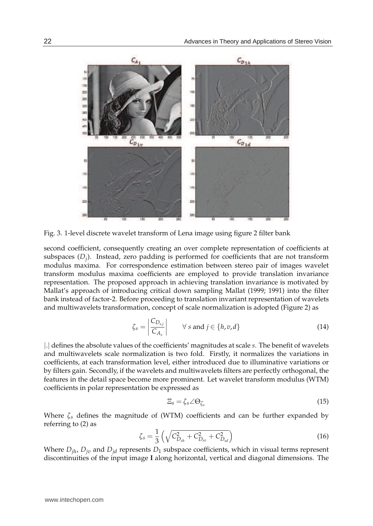

Fig. 3. 1-level discrete wavelet transform of Lena image using figure 2 filter bank

second coefficient, consequently creating an over complete representation of coefficients at subspaces (*D<sup>j</sup>* ). Instead, zero padding is performed for coefficients that are not transform modulus maxima. For correspondence estimation between stereo pair of images wavelet transform modulus maxima coefficients are employed to provide translation invariance representation. The proposed approach in achieving translation invariance is motivated by Mallat's approach of introducing critical down sampling Mallat (1999; 1991) into the filter bank instead of factor-2. Before proceeding to translation invariant representation of wavelets and multiwavelets transformation, concept of scale normalization is adopted (Figure 2) as

$$
\zeta_s = \left| \frac{C_{D_{s,j}}}{C_{A_s}} \right| \qquad \forall \ s \text{ and } j \in \{h, v, d\}
$$
\n(14)

|.| defines the absolute values of the coefficients' magnitudes at scale *s*. The benefit of wavelets and multiwavelets scale normalization is two fold. Firstly, it normalizes the variations in coefficients, at each transformation level, either introduced due to illuminative variations or by filters gain. Secondly, if the wavelets and multiwavelets filters are perfectly orthogonal, the features in the detail space become more prominent. Let wavelet transform modulus (WTM) coefficients in polar representation be expressed as

$$
\Xi_s = \zeta_s \angle \Theta_{\zeta_s} \tag{15}
$$

Where *ζs* defines the magnitude of (WTM) coefficients and can be further expanded by referring to (2) as

$$
\zeta_s = \frac{1}{3} \left( \sqrt{C_{D_{sh}}^2 + C_{D_{sv}}^2 + C_{D_{sd}}^2} \right) \tag{16}
$$

Where  $D_{jh}$ ,  $D_{jv}$  and  $D_{jd}$  represents  $D_1$  subspace coefficients, which in visual terms represent discontinuities of the input image **I** along horizontal, vertical and diagonal dimensions. The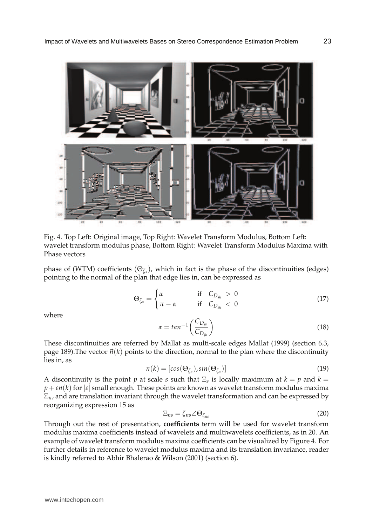

Fig. 4. Top Left: Original image, Top Right: Wavelet Transform Modulus, Bottom Left: wavelet transform modulus phase, Bottom Right: Wavelet Transform Modulus Maxima with Phase vectors

phase of (WTM) coefficients (Θ*ζ<sup>s</sup>* ), which in fact is the phase of the discontinuities (edges) pointing to the normal of the plan that edge lies in, can be expressed as

$$
\Theta_{\zeta_s} = \begin{cases} \alpha & \text{if } C_{D_{sh}} > 0 \\ \pi - \alpha & \text{if } C_{D_{sh}} < 0 \end{cases} \tag{17}
$$

where

$$
\alpha = \tan^{-1}\left(\frac{C_{D_{j_v}}}{C_{D_{j_h}}}\right) \tag{18}
$$

These discontinuities are referred by Mallat as multi-scale edges Mallat (1999) (section 6.3, page 189). The vector  $\vec{n}(k)$  points to the direction, normal to the plan where the discontinuity lies in, as

$$
n(k) = [cos(\Theta_{\zeta_s}), sin(\Theta_{\zeta_s})]
$$
\n(19)

A discontinuity is the point *p* at scale *s* such that  $\Xi$ <sub>*s*</sub> is locally maximum at  $k = p$  and  $k =$  $p + \epsilon n(k)$  for  $|\epsilon|$  small enough. These points are known as wavelet transform modulus maxima Ξ*n*, and are translation invariant through the wavelet transformation and can be expressed by reorganizing expression 15 as

$$
\Xi_{ns} = \zeta_{ns} \angle \Theta_{\zeta_{ns}} \tag{20}
$$

Through out the rest of presentation, **coefficients** term will be used for wavelet transform modulus maxima coefficients instead of wavelets and multiwavelets coefficients, as in 20. An example of wavelet transform modulus maxima coefficients can be visualized by Figure 4. For further details in reference to wavelet modulus maxima and its translation invariance, reader is kindly referred to Abhir Bhalerao & Wilson (2001) (section 6).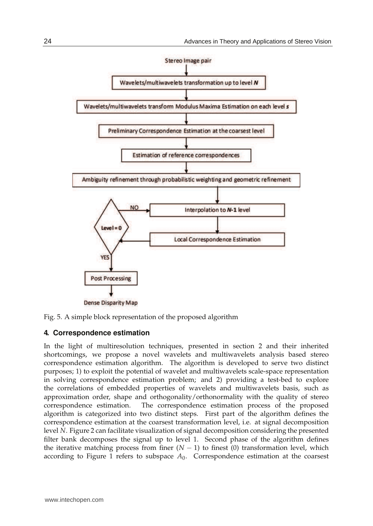

Fig. 5. A simple block representation of the proposed algorithm

#### **4. Correspondence estimation**

In the light of multiresolution techniques, presented in section 2 and their inherited shortcomings, we propose a novel wavelets and multiwavelets analysis based stereo correspondence estimation algorithm. The algorithm is developed to serve two distinct purposes; 1) to exploit the potential of wavelet and multiwavelets scale-space representation in solving correspondence estimation problem; and 2) providing a test-bed to explore the correlations of embedded properties of wavelets and multiwavelets basis, such as approximation order, shape and orthogonality/orthonormality with the quality of stereo correspondence estimation. The correspondence estimation process of the proposed algorithm is categorized into two distinct steps. First part of the algorithm defines the correspondence estimation at the coarsest transformation level, i.e. at signal decomposition level *N*. Figure 2 can facilitate visualization of signal decomposition considering the presented filter bank decomposes the signal up to level 1. Second phase of the algorithm defines the iterative matching process from finer  $(N - 1)$  to finest (0) transformation level, which according to Figure 1 refers to subspace  $A_0$ . Correspondence estimation at the coarsest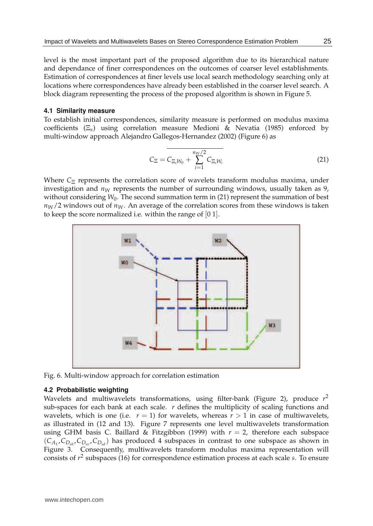level is the most important part of the proposed algorithm due to its hierarchical nature and dependance of finer correspondences on the outcomes of coarser level establishments. Estimation of correspondences at finer levels use local search methodology searching only at locations where correspondences have already been established in the coarser level search. A block diagram representing the process of the proposed algorithm is shown in Figure 5.

#### **4.1 Similarity measure**

To establish initial correspondences, similarity measure is performed on modulus maxima coefficients (Ξ*s*) using correlation measure Medioni & Nevatia (1985) enforced by multi-window approach Alejandro Gallegos-Hernandez (2002) (Figure 6) as

$$
C_{\Xi} = \overline{C_{\Xi, W_0} + \sum_{i=1}^{n_W/2} C_{\Xi, W_i}}
$$
(21)

Where *C*<sub>Ξ</sub> represents the correlation score of wavelets transform modulus maxima, under investigation and  $n_W$  represents the number of surrounding windows, usually taken as 9, without considering  $W_0$ . The second summation term in (21) represent the summation of best  $n_W/2$  windows out of  $n_W$ . An average of the correlation scores from these windows is taken to keep the score normalized i.e. within the range of [0 1].



Fig. 6. Multi-window approach for correlation estimation

#### **4.2 Probabilistic weighting**

Wavelets and multiwavelets transformations, using filter-bank (Figure 2), produce *r* 2 sub-spaces for each bank at each scale. *r* defines the multiplicity of scaling functions and wavelets, which is one (i.e.  $r = 1$ ) for wavelets, whereas  $r > 1$  in case of multiwavelets, as illustrated in (12 and 13). Figure 7 represents one level multiwavelets transformation using GHM basis C. Baillard & Fitzgibbon (1999) with  $r = 2$ , therefore each subspace  $(C_{A_1}, C_{D_{sh}}, C_{D_{sv}}, C_{D_{sd}})$  has produced 4 subspaces in contrast to one subspace as shown in Figure 3. Consequently, multiwavelets transform modulus maxima representation will consists of *r* 2 subspaces (16) for correspondence estimation process at each scale *s*. To ensure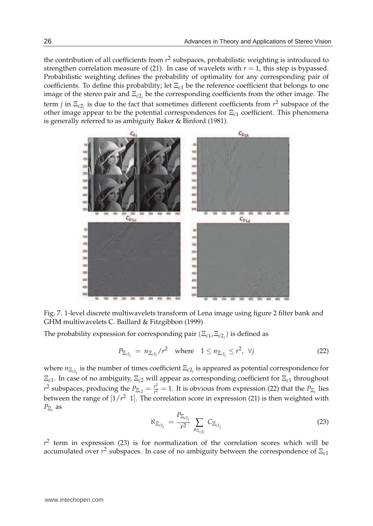the contribution of all coefficients from *r* 2 subspaces, probabilistic weighting is introduced to strengthen correlation measure of (21). In case of wavelets with  $r = 1$ , this step is bypassed. Probabilistic weighting defines the probability of optimality for any corresponding pair of coefficients. To define this probability; let Ξ*c*<sup>1</sup> be the reference coefficient that belongs to one image of the stereo pair and Ξ*c*2*<sup>j</sup>* be the corresponding coefficients from the other image. The term *j* in  $\Xi_{c2_j}$  is due to the fact that sometimes different coefficients from  $r^2$  subspace of the other image appear to be the potential correspondences for Ξ*c*<sup>1</sup> coefficient. This phenomena is generally referred to as ambiguity Baker & Binford (1981).



Fig. 7. 1-level discrete multiwavelets transform of Lena image using figure 2 filter bank and GHM multiwavelets C. Baillard & Fitzgibbon (1999)

The probability expression for corresponding pair  $(\Xi_{c1}, \Xi_{c2_j})$  is defined as

$$
P_{\Xi_{c2_j}} = n_{\Xi_{c2j}}/r^2 \quad \text{where} \quad 1 \le n_{\Xi_{c2_j}} \le r^2, \ \forall j \tag{22}
$$

where  $n_{\Xi_{c2_j}}$  is the number of times coefficient  $\Xi_{c2_j}$  is appeared as potential correspondence for Ξ*c*<sup>1</sup> . In case of no ambiguity, Ξ*c*<sup>2</sup> will appear as corresponding coefficient for Ξ*c*<sup>1</sup> throughout  $r^2$  subspaces, producing the  $P_{\Xi_{c2}} = \frac{r^2}{r^2}$  $\frac{r^2}{r^2} = 1$ . It is obvious from expression (22) that the  $P_{\Xi_c}$  lies between the range of [1/*r* <sup>2</sup> 1]. The correlation score in expression (21) is then weighted with *P*Ξ*<sup>c</sup>* as

$$
\aleph_{\Xi_{c2_j}} = \frac{P_{\Xi_{c2_j}}}{r^2} \sum_{n_{\Xi_{c2_j}}} C_{\Xi_{c2_j}}
$$
 (23)

 $r^2$  term in expression (23) is for normalization of the correlation scores which will be accumulated over *r* 2 subspaces. In case of no ambiguity between the correspondence of Ξ*c*<sup>1</sup>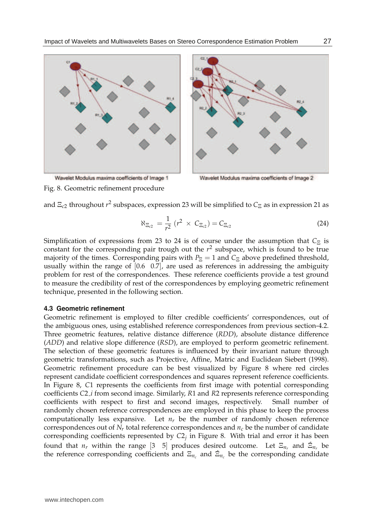

Wavelet Modulus maxima coefficients of Image 2

Fig. 8. Geometric refinement procedure

and Ξ<sub>c2</sub> throughout  $r^2$  subspaces, expression 23 will be simplified to C $_Xi$  as in expression 21 as

$$
\aleph_{\Xi_{c2}} = \frac{1}{r^2} (r^2 \times C_{\Xi_{c2}}) = C_{\Xi_{c2}} \tag{24}
$$

Simplification of expressions from 23 to 24 is of course under the assumption that  $C_{\Xi}$  is constant for the corresponding pair trough out the *r* 2 subspace, which is found to be true majority of the times. Corresponding pairs with  $P_{\Xi} = 1$  and  $C_{\Xi}$  above predefined threshold, usually within the range of  $[0.6 \ 0.7]$ , are used as references in addressing the ambiguity problem for rest of the correspondences. These reference coefficients provide a test ground to measure the credibility of rest of the correspondences by employing geometric refinement technique, presented in the following section.

#### **4.3 Geometric refinement**

Geometric refinement is employed to filter credible coefficients' correspondences, out of the ambiguous ones, using established reference correspondences from previous section-4.2. Three geometric features, relative distance difference (*RDD*), absolute distance difference (*ADD*) and relative slope difference (*RSD*), are employed to perform geometric refinement. The selection of these geometric features is influenced by their invariant nature through geometric transformations, such as Projective, Affine, Matric and Euclidean Siebert (1998). Geometric refinement procedure can be best visualized by Figure 8 where red circles represent candidate coefficient correspondences and squares represent reference coefficients. In Figure 8, *C*1 represents the coefficients from first image with potential corresponding coefficients *C*2 *i* from second image. Similarly, *R*1 and *R*2 represents reference corresponding coefficients with respect to first and second images, respectively. Small number of randomly chosen reference correspondences are employed in this phase to keep the process computationally less expansive. Let  $n<sub>r</sub>$  be the number of randomly chosen reference correspondences out of  $N_r$  total reference correspondences and  $n_c$  be the number of candidate corresponding coefficients represented by *C*2*<sup>j</sup>* in Figure 8. With trial and error it has been found that  $n_r$  within the range [3 \ 5] produces desired outcome. Let  $\Xi_{n_r}$  and  $\Xi_{n_r}$  be the reference corresponding coefficients and  $\Xi_{n_c}$  and  $\tilde{\Xi}_{n_c}$  be the corresponding candidate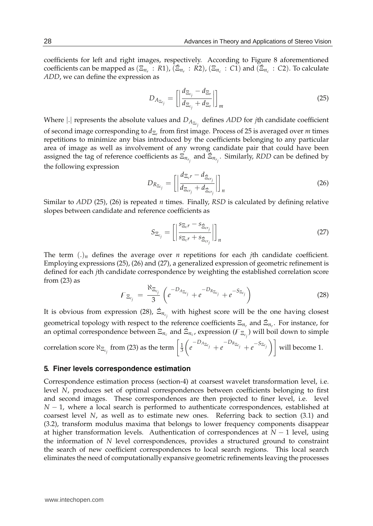coefficients for left and right images, respectively. According to Figure 8 aforementioned coefficients can be mapped as  $(\Xi_{n_r}: R1)$ ,  $(\tilde{\Xi}_{n_r}: R2)$ ,  $(\Xi_{n_c}: C1)$  and  $(\tilde{\Xi}_{n_c}: C2)$ . To calculate *ADD*, we can define the expression as

$$
D_{A_{\Xi_{c_j}}} = \left[ \left| \frac{d_{\Xi_{c_j}} - d_{\Xi_r}}{d_{\Xi_{c_j}} + d_{\Xi_r}} \right| \right]_m \tag{25}
$$

Where  $|.|$  represents the absolute values and  $D_{A_{\Xi_{c_i}}}$  defines *ADD* for *j*th candidate coefficient of second image corresponding to *d*Ξ*<sup>r</sup>* from first image. Process of 25 is averaged over *m* times repetitions to minimize any bias introduced by the coefficients belonging to any particular area of image as well as involvement of any wrong candidate pair that could have been assigned the tag of reference coefficients as  $\Xi_{n_{r_i}}$  and  $\Xi_{n_{r_i}}$ . Similarly, *RDD* can be defined by the following expression

$$
D_{R_{\Xi_{c_j}}} = \left[ \left| \frac{d_{\Xi_{c^r}} - d_{\tilde{\Xi}_{cr_j}}}{d_{\Xi_{cr_j}} + d_{\tilde{\Xi}_{cr_j}}} \right| \right]_n \tag{26}
$$

Similar to *ADD* (25), (26) is repeated *n* times. Finally, *RSD* is calculated by defining relative slopes between candidate and reference coefficients as

$$
S_{\Xi_{c_j}} = \left[ \left| \frac{s_{\Xi_c r} - s_{\tilde{\Xi}_{cr_j}}}{s_{\Xi_c r} + s_{\tilde{\Xi}_{cr_j}}} \right| \right]_n \tag{27}
$$

The term  $\Lambda_n$  defines the average over *n* repetitions for each *j*th candidate coefficient. Employing expressions (25), (26) and (27), a generalized expression of geometric refinement is defined for each *j*th candidate correspondence by weighting the established correlation score from  $(23)$  as

$$
F_{\Xi_{c_j}} = \frac{\aleph_{\Xi_{c_j}}}{3} \left( e^{-D_{A_{\Xi_{c_j}}}} + e^{-D_{R_{\Xi_{c_j}}}} + e^{-S_{\Xi_{c_j}}}\right)
$$
(28)

It is obvious from expression (28),  $\tilde{\Xi}_{n_{c_j}}$  with highest score will be the one having closest geometrical topology with respect to the reference coefficients  $\Xi_{n_r}$  and  $\tilde{\Xi}_{n_r}$ . For instance, for an optimal correspondence between  $\Xi_{n_c}$  and  $\tilde{\Xi}_{n_c}$ , expression  $(F_{\Xi_{c_j}})$  will boil down to simple

correlation score 
$$
\aleph_{\Xi_{c_j}}
$$
 from (23) as the term  $\left[\frac{1}{3}\left(e^{-D_{A_{\Xi_{c_j}}}}+e^{-D_{R_{\Xi_{c_j}}}}+e^{-S_{\Xi_{c_j}}}\right)\right]$  will become 1.

#### **5. Finer levels correspondence estimation**

Correspondence estimation process (section-4) at coarsest wavelet transformation level, i.e. level *N*, produces set of optimal correspondences between coefficients belonging to first and second images. These correspondences are then projected to finer level, i.e. level *N* − 1, where a local search is performed to authenticate correspondences, established at coarsest level *N*, as well as to estimate new ones. Referring back to section (3.1) and (3.2), transform modulus maxima that belongs to lower frequency components disappear at higher transformation levels. Authentication of correspondences at *N* − 1 level, using the information of *N* level correspondences, provides a structured ground to constraint the search of new coefficient correspondences to local search regions. This local search eliminates the need of computationally expansive geometric refinements leaving the processes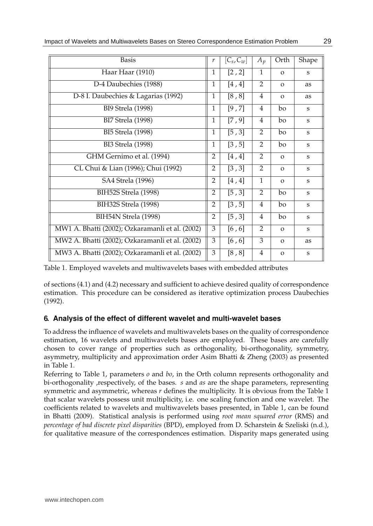| <b>Basis</b>                                    | r              | $[C_s, C_w]$ | $A_p$          | Orth         | Shape   |
|-------------------------------------------------|----------------|--------------|----------------|--------------|---------|
| Haar Haar (1910)                                | 1              | [2, 2]       | 1              | $\Omega$     | S       |
| D-4 Daubechies (1988)                           | 1              | $[4, 4]$     | $\overline{2}$ | $\Omega$     | as      |
| D-8 I. Daubechies & Lagarias (1992)             | 1              | [8, 8]       | 4              | $\Omega$     | as      |
| <b>BI9 Strela (1998)</b>                        | 1              | [9, 7]       | $\overline{4}$ | bo           | S       |
| <b>BI7 Strela (1998)</b>                        | $\mathbf{1}$   | [7, 9]       | $\overline{4}$ | bo           | S       |
| <b>BI5 Strela (1998)</b>                        | 1              | [5, 3]       | 2              | bo           | S       |
| <b>BI3 Strela (1998)</b>                        | $\mathbf{1}$   | [3, 5]       | 2              | bo           | S       |
| GHM Gernimo et al. (1994)                       | $\overline{2}$ | $[4, 4]$     | 2              | $\Omega$     | $\bf S$ |
| CL Chui & Lian (1996); Chui (1992)              | 2              | [3, 3]       | 2              | $\Omega$     | S       |
| SA4 Strela (1996)                               | 2              | $[4, 4]$     | $\mathbf{1}$   | $\Omega$     | S       |
| BIH52S Strela (1998)                            | $\overline{2}$ | [5, 3]       | 2              | bo           | S       |
| BIH32S Strela (1998)                            | 2              | [3, 5]       | 4              | bo           | S       |
| BIH54N Strela (1998)                            | $\overline{2}$ | [5, 3]       | $\overline{4}$ | bo           | S       |
| MW1 A. Bhatti (2002); Ozkaramanli et al. (2002) | 3              | $[6, 6]$     | 2              | $\Omega$     | S       |
| MW2 A. Bhatti (2002); Ozkaramanli et al. (2002) | 3              | $[6, 6]$     | 3              | $\Omega$     | as      |
| MW3 A. Bhatti (2002); Ozkaramanli et al. (2002) | 3              | [8, 8]       | $\overline{4}$ | $\mathbf{O}$ | S       |

Table 1. Employed wavelets and multiwavelets bases with embedded attributes

of sections (4.1) and (4.2) necessary and sufficient to achieve desired quality of correspondence estimation. This procedure can be considered as iterative optimization process Daubechies (1992).

## **6. Analysis of the effect of different wavelet and multi-wavelet bases**

To address the influence of wavelets and multiwavelets bases on the quality of correspondence estimation, 16 wavelets and multiwavelets bases are employed. These bases are carefully chosen to cover range of properties such as orthogonality, bi-orthogonality, symmetry, asymmetry, multiplicity and approximation order Asim Bhatti & Zheng (2003) as presented in Table 1.

Referring to Table 1, parameters *o* and *bo*, in the Orth column represents orthogonality and bi-orthogonality ,respectively, of the bases. *s* and *as* are the shape parameters, representing symmetric and asymmetric, whereas *r* defines the multiplicity. It is obvious from the Table 1 that scalar wavelets possess unit multiplicity, i.e. one scaling function and one wavelet. The coefficients related to wavelets and multiwavelets bases presented, in Table 1, can be found in Bhatti (2009). Statistical analysis is performed using *root mean squared error* (RMS) and *percentage of bad discrete pixel disparities* (BPD), employed from D. Scharstein & Szeliski (n.d.), for qualitative measure of the correspondences estimation. Disparity maps generated using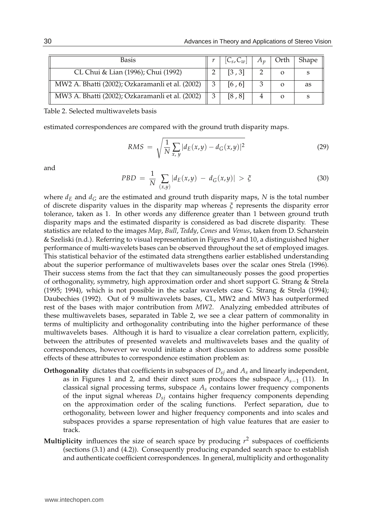| <b>Basis</b>                                    | $[C_s, C_w]$ | $A_n$ | Orth | Shape |
|-------------------------------------------------|--------------|-------|------|-------|
| CL Chui & Lian (1996); Chui (1992)              | [3, 3]       |       |      |       |
| MW2 A. Bhatti (2002); Ozkaramanli et al. (2002) | [6, 6]       |       |      | as    |
| MW3 A. Bhatti (2002); Ozkaramanli et al. (2002) | [8, 8]       |       |      |       |

Table 2. Selected multiwavelets basis

estimated correspondences are compared with the ground truth disparity maps.

$$
RMS = \sqrt{\frac{1}{N} \sum_{x,y} |d_E(x,y) - d_G(x,y)|^2}
$$
 (29)

and

$$
PBD = \frac{1}{N} \sum_{(x,y)} |d_E(x,y) - d_G(x,y)| > \xi
$$
 (30)

where  $d_E$  and  $d_G$  are the estimated and ground truth disparity maps, *N* is the total number of discrete disparity values in the disparity map whereas *ξ* represents the disparity error tolerance, taken as 1. In other words any difference greater than 1 between ground truth disparity maps and the estimated disparity is considered as bad discrete disparity. These statistics are related to the images *Map*, *Bull*, *Teddy*, *Cones* and *Venus*, taken from D. Scharstein & Szeliski (n.d.). Referring to visual representation in Figures 9 and 10, a distinguished higher performance of multi-wavelets bases can be observed throughout the set of employed images. This statistical behavior of the estimated data strengthens earlier established understanding about the superior performance of multiwavelets bases over the scalar ones Strela (1996). Their success stems from the fact that they can simultaneously posses the good properties of orthogonality, symmetry, high approximation order and short support G. Strang & Strela (1995; 1994), which is not possible in the scalar wavelets case G. Strang & Strela (1994); Daubechies (1992). Out of 9 multiwavelets bases, CL, MW2 and MW3 has outperformed rest of the bases with major contribution from *MW2*. Analyzing embedded attributes of these multiwavelets bases, separated in Table 2, we see a clear pattern of commonality in terms of multiplicity and orthogonality contributing into the higher performance of these multiwavelets bases. Although it is hard to visualize a clear correlation pattern, explicitly, between the attributes of presented wavelets and multiwavelets bases and the quality of correspondences, however we would initiate a short discussion to address some possible effects of these attributes to correspondence estimation problem as:

- **Orthogonality** dictates that coefficients in subspaces of  $D_{si}$  and  $A_s$  and linearly independent, as in Figures 1 and 2, and their direct sum produces the subspace *As*−<sup>1</sup> (11). In classical signal processing terms, subspace *As* contains lower frequency components of the input signal whereas *Dsj* contains higher frequency components depending on the approximation order of the scaling functions. Perfect separation, due to orthogonality, between lower and higher frequency components and into scales and subspaces provides a sparse representation of high value features that are easier to track.
- **Multiplicity** influences the size of search space by producing *r* 2 subspaces of coefficients (sections (3.1) and (4.2)). Consequently producing expanded search space to establish and authenticate coefficient correspondences. In general, multiplicity and orthogonality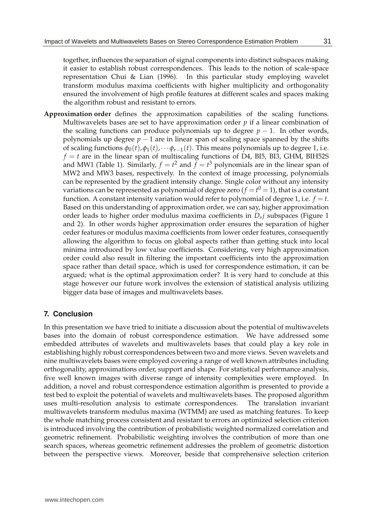together, influences the separation of signal components into distinct subspaces making it easier to establish robust correspondences. This leads to the notion of scale-space representation Chui & Lian (1996). In this particular study employing wavelet transform modulus maxima coefficients with higher multiplicity and orthogonality ensured the involvement of high profile features at different scales and spaces making the algorithm robust and resistant to errors.

**Approximation order** defines the approximation capabilities of the scaling functions. Multiwavelets bases are set to have approximation order *p* if a linear combination of the scaling functions can produce polynomials up to degree  $p - 1$ . In other words, polynomials up degree  $p - 1$  are in linear span of scaling space spanned by the shifts of scaling functions  $\phi_0(t)$ ,  $\phi_1(t)$ , ··· $\phi_{r-1}(t)$ . This means polynomials up to degree 1, i.e.  $f = t$  are in the linear span of multiscaling functions of D4, BI5, BI3, GHM, BIH52S and MW1 (Table 1). Similarly,  $f = t^2$  and  $f = t^3$  polynomials are in the linear span of MW2 and MW3 bases, respectively. In the context of image processing, polynomials can be represented by the gradient intensity change. Single color without any intensity variations can be represented as polynomial of degree zero ( $f = t^0 = 1$ ), that is a constant function. A constant intensity variation would refer to polynomial of degree 1, i.e.  $f = t$ . Based on this understanding of approximation order, we can say, higher approximation order leads to higher order modulus maxima coefficients in *Dsj* subspaces (Figure 1 and 2). In other words higher approximation order ensures the separation of higher order features or modulus maxima coefficients from lower order features, consequently allowing the algorithm to focus on global aspects rather than getting stuck into local minima introduced by low value coefficients. Considering, very high approximation order could also result in filtering the important coefficients into the approximation space rather than detail space, which is used for correspondence estimation, it can be argued; what is the optimal approximation order? It is very hard to conclude at this stage however our future work involves the extension of statistical analysis utilizing bigger data base of images and multiwavelets bases.

### **7. Conclusion**

In this presentation we have tried to initiate a discussion about the potential of multiwavelets bases into the domain of robust correspondence estimation. We have addressed some embedded attributes of wavelets and multiwavelets bases that could play a key role in establishing highly robust correspondences between two and more views. Seven wavelets and nine multiwavelets bases were employed covering a range of well known attributes including orthogonality, approximations order, support and shape. For statistical performance analysis, five well known images with diverse range of intensity complexities were employed. In addition, a novel and robust correspondence estimation algorithm is presented to provide a test bed to exploit the potential of wavelets and multiwavelets bases. The proposed algorithm uses multi-resolution analysis to estimate correspondences. The translation invariant multiwavelets transform modulus maxima (WTMM) are used as matching features. To keep the whole matching process consistent and resistant to errors an optimized selection criterion is introduced involving the contribution of probabilistic weighted normalized correlation and geometric refinement. Probabilistic weighting involves the contribution of more than one search spaces, whereas geometric refinement addresses the problem of geometric distortion between the perspective views. Moreover, beside that comprehensive selection criterion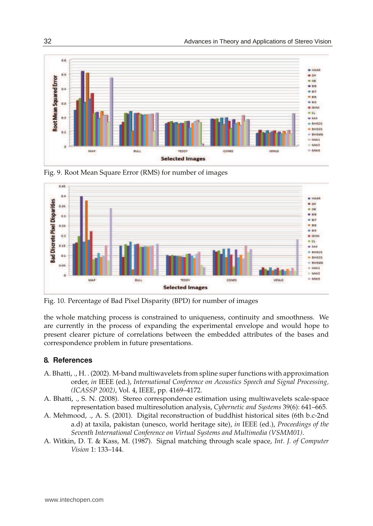

Fig. 9. Root Mean Square Error (RMS) for number of images



Fig. 10. Percentage of Bad Pixel Disparity (BPD) for number of images

the whole matching process is constrained to uniqueness, continuity and smoothness. We are currently in the process of expanding the experimental envelope and would hope to present clearer picture of correlations between the embedded attributes of the bases and correspondence problem in future presentations.

#### **8. References**

- A. Bhatti, ., H. . (2002). M-band multiwavelets from spline super functions with approximation order, *in* IEEE (ed.), *International Conference on Acoustics Speech and Signal Processing, (ICASSP 2002)*, Vol. 4, IEEE, pp. 4169–4172.
- A. Bhatti, ., S. N. (2008). Stereo correspondence estimation using multiwavelets scale-space representation based multiresolution analysis, *Cybernetic and Systems* 39(6): 641–665.
- A. Mehmood, ., A. S. (2001). Digital reconstruction of buddhist historical sites (6th b.c-2nd a.d) at taxila, pakistan (unesco, world heritage site), *in* IEEE (ed.), *Proceedings of the Seventh International Conference on Virtual Systems and Multimedia (VSMM01)*.
- A. Witkin, D. T. & Kass, M. (1987). Signal matching through scale space, *Int. J. of Computer Vision* 1: 133–144.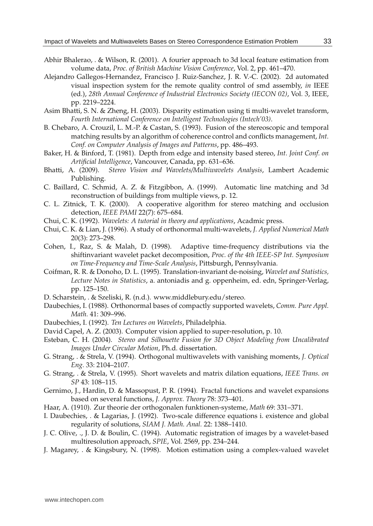- Abhir Bhalerao, . & Wilson, R. (2001). A fourier approach to 3d local feature estimation from volume data, *Proc. of British Machine Vision Conference*, Vol. 2, pp. 461–470.
- Alejandro Gallegos-Hernandez, Francisco J. Ruiz-Sanchez, J. R. V.-C. (2002). 2d automated visual inspection system for the remote quality control of smd assembly, *in* IEEE (ed.), *28th Annual Conference of Industrial Electronics Society (IECON 02)*, Vol. 3, IEEE, pp. 2219–2224.
- Asim Bhatti, S. N. & Zheng, H. (2003). Disparity estimation using ti multi-wavelet transform, *Fourth International Conference on Intelligent Technologies (Intech'03)*.
- B. Chebaro, A. Crouzil, L. M.-P. & Castan, S. (1993). Fusion of the stereoscopic and temporal matching results by an algorithm of coherence control and conflicts management, *Int. Conf. on Computer Analysis of Images and Patterns*, pp. 486–493.
- Baker, H. & Binford, T. (1981). Depth from edge and intensity based stereo, *Int. Joint Conf. on Artificial Intelligence*, Vancouver, Canada, pp. 631–636.
- Bhatti, A. (2009). *Stereo Vision and Wavelets/Multiwavelets Analysis*, Lambert Academic Publishing.
- C. Baillard, C. Schmid, A. Z. & Fitzgibbon, A. (1999). Automatic line matching and 3d reconstruction of buildings from multiple views, p. 12.
- C. L. Zitnick, T. K. (2000). A cooperative algorithm for stereo matching and occlusion detection, *IEEE PAMI* 22(7): 675–684.
- Chui, C. K. (1992). *Wavelets: A tutorial in theory and applications*, Acadmic press.
- Chui, C. K. & Lian, J. (1996). A study of orthonormal multi-wavelets, *J. Applied Numerical Math* 20(3): 273–298.
- Cohen, I., Raz, S. & Malah, D. (1998). Adaptive time-frequency distributions via the shiftinvariant wavelet packet decomposition, *Proc. of the 4th IEEE-SP Int. Symposium on Time-Frequency and Time-Scale Analysis*, Pittsburgh, Pennsylvania.
- Coifman, R. R. & Donoho, D. L. (1995). Translation-invariant de-noising, *Wavelet and Statistics, Lecture Notes in Statistics*, a. antoniadis and g. oppenheim, ed. edn, Springer-Verlag, pp. 125–150.
- D. Scharstein, . & Szeliski, R. (n.d.). www.middlebury.edu/stereo.
- Daubechies, I. (1988). Orthonormal bases of compactly supported wavelets, *Comm. Pure Appl. Math.* 41: 309–996.
- Daubechies, I. (1992). *Ten Lectures on Wavelets*, Philadelphia.
- David Capel, A. Z. (2003). Computer vision applied to super-resolution, p. 10.
- Esteban, C. H. (2004). *Stereo and Silhouette Fusion for 3D Object Modeling from Uncalibrated Images Under Circular Motion*, Ph.d. dissertation.
- G. Strang, . & Strela, V. (1994). Orthogonal multiwavelets with vanishing moments, *J. Optical Eng.* 33: 2104–2107.
- G. Strang, . & Strela, V. (1995). Short wavelets and matrix dilation equations, *IEEE Trans. on SP* 43: 108–115.
- Gernimo, J., Hardin, D. & Massopust, P. R. (1994). Fractal functions and wavelet expansions based on several functions, *J. Approx. Theory* 78: 373–401.
- Haar, A. (1910). Zur theorie der orthogonalen funktionen-systeme, *Math* 69: 331–371.
- I. Daubechies, . & Lagarias, J. (1992). Two-scale difference equations i. existence and global regularity of solutions, *SIAM J. Math. Anal.* 22: 1388–1410.
- J. C. Olive, ., J. D. & Boulin, C. (1994). Automatic registration of images by a wavelet-based multiresolution approach, *SPIE*, Vol. 2569, pp. 234–244.
- J. Magarey, . & Kingsbury, N. (1998). Motion estimation using a complex-valued wavelet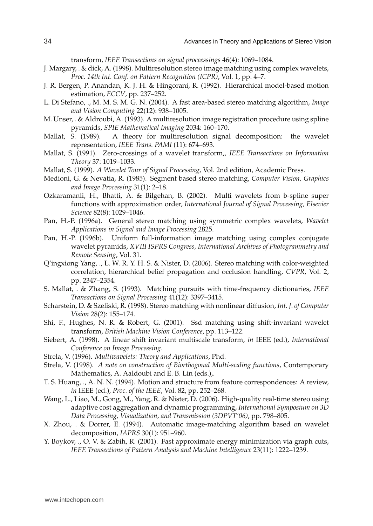transform, *IEEE Transections on signal proceessings* 46(4): 1069–1084.

- J. Margary, . & dick, A. (1998). Multiresolution stereo image matching using complex wavelets, *Proc. 14th Int. Conf. on Pattern Recognition (ICPR)*, Vol. 1, pp. 4–7.
- J. R. Bergen, P. Anandan, K. J. H. & Hingorani, R. (1992). Hierarchical model-based motion estimation, *ECCV*, pp. 237–252.
- L. Di Stefano, ., M. M. S. M. G. N. (2004). A fast area-based stereo matching algorithm, *Image and Vision Computing* 22(12): 938–1005.
- M. Unser, . & Aldroubi, A. (1993). A multiresolution image registration procedure using spline pyramids, *SPIE Mathematical Imaging* 2034: 160–170.
- Mallat, S. (1989). A theory for multiresolution signal decomposition: the wavelet representation, *IEEE Trans. PAMI* (11): 674–693.
- Mallat, S. (1991). Zero-crossings of a wavelet transform,, *IEEE Transactions on Information Theory* 37: 1019–1033.
- Mallat, S. (1999). *A Wavelet Tour of Signal Processing*, Vol. 2nd edition, Academic Press.
- Medioni, G. & Nevatia, R. (1985). Segment based stereo matching, *Computer Vision, Graphics and Image Processing* 31(1): 2–18.
- Ozkaramanli, H., Bhatti, A. & Bilgehan, B. (2002). Multi wavelets from b-spline super functions with approximation order, *International Journal of Signal Processing, Elsevier Science* 82(8): 1029–1046.
- Pan, H.-P. (1996a). General stereo matching using symmetric complex wavelets, *Wavelet Applications in Signal and Image Processing* 2825.
- Pan, H.-P. (1996b). Uniform full-information image matching using complex conjugate wavelet pyramids, *XVIII ISPRS Congress, International Archives of Photogrammetry and Remote Sensing*, Vol. 31.
- Q'ingxiong Yang, ., L. W. R. Y. H. S. & Nister, D. (2006). Stereo matching with color-weighted correlation, hierarchical belief propagation and occlusion handling, *CVPR*, Vol. 2, pp. 2347–2354.
- S. Mallat, . & Zhang, S. (1993). Matching pursuits with time-frequency dictionaries, *IEEE Transactions on Signal Processing* 41(12): 3397–3415.
- Scharstein, D. & Szeliski, R. (1998). Stereo matching with nonlinear diffusion, *Int. J. of Computer Vision* 28(2): 155–174.
- Shi, F., Hughes, N. R. & Robert, G. (2001). Ssd matching using shift-invariant wavelet transform, *British Machine Vision Conference*, pp. 113–122.
- Siebert, A. (1998). A linear shift invariant multiscale transform, *in* IEEE (ed.), *International Conference on Image Processing*.
- Strela, V. (1996). *Multiwavelets: Theory and Applications*, Phd.
- Strela, V. (1998). *A note on construction of Biorthogonal Multi-scaling functions*, Contemporary Mathematics, A. Aaldoubi and E. B. Lin (eds.),.
- T. S. Huang, ., A. N. N. (1994). Motion and structure from feature correspondences: A review, *in* IEEE (ed.), *Proc. of the IEEE*, Vol. 82, pp. 252–268.
- Wang, L., Liao, M., Gong, M., Yang, R. & Nister, D. (2006). High-quality real-time stereo using adaptive cost aggregation and dynamic programming, *International Symposium on 3D Data Processing, Visualization, and Transmission (3DPVT'06)*, pp. 798–805.
- X. Zhou, . & Dorrer, E. (1994). Automatic image-matching algorithm based on wavelet decomposition, *IAPRS* 30(1): 951–960.
- Y. Boykov, ., O. V. & Zabih, R. (2001). Fast approximate energy minimization via graph cuts, *IEEE Transections of Pattern Analysis and Machine Intelligence* 23(11): 1222–1239.